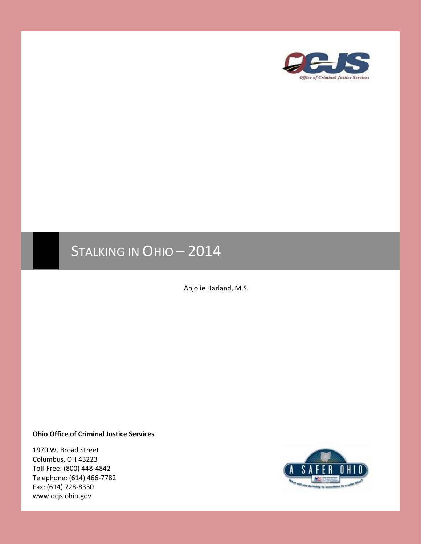

# STALKING IN OHIO - 2014

Anjolie Harland, M.S.

#### **Ohio Office of Criminal Justice Services**

1970 W. Broad Street Columbus, OH 43223 Toll-Free: (800) 448-4842 Telephone: (614) 466-7782 Fax: (614) 728-8330 www.ocjs.ohio.gov

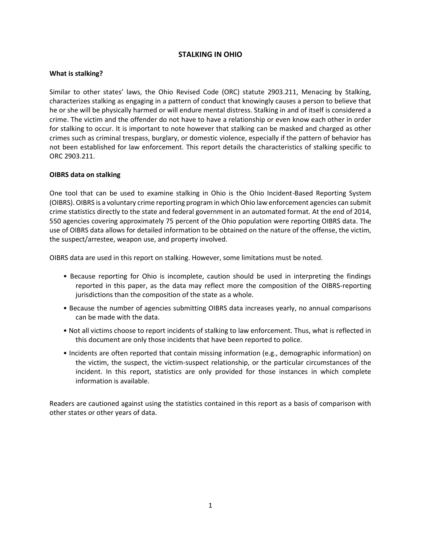## **STALKING IN OHIO**

## **What is stalking?**

Similar to other states' laws, the Ohio Revised Code (ORC) statute 2903.211, Menacing by Stalking, characterizes stalking as engaging in a pattern of conduct that knowingly causes a person to believe that he or she will be physically harmed or will endure mental distress. Stalking in and of itself is considered a crime. The victim and the offender do not have to have a relationship or even know each other in order for stalking to occur. It is important to note however that stalking can be masked and charged as other crimes such as criminal trespass, burglary, or domestic violence, especially if the pattern of behavior has not been established for law enforcement. This report details the characteristics of stalking specific to ORC 2903.211.

## **OIBRS data on stalking**

One tool that can be used to examine stalking in Ohio is the Ohio Incident-Based Reporting System (OIBRS). OIBRS is a voluntary crime reporting program in which Ohio law enforcement agencies can submit crime statistics directly to the state and federal government in an automated format. At the end of 2014, 550 agencies covering approximately 75 percent of the Ohio population were reporting OIBRS data. The use of OIBRS data allows for detailed information to be obtained on the nature of the offense, the victim, the suspect/arrestee, weapon use, and property involved.

OIBRS data are used in this report on stalking. However, some limitations must be noted.

- Because reporting for Ohio is incomplete, caution should be used in interpreting the findings reported in this paper, as the data may reflect more the composition of the OIBRS-reporting jurisdictions than the composition of the state as a whole.
- Because the number of agencies submitting OIBRS data increases yearly, no annual comparisons can be made with the data.
- Not all victims choose to report incidents of stalking to law enforcement. Thus, what is reflected in this document are only those incidents that have been reported to police.
- Incidents are often reported that contain missing information (e.g., demographic information) on the victim, the suspect, the victim-suspect relationship, or the particular circumstances of the incident. In this report, statistics are only provided for those instances in which complete information is available.

Readers are cautioned against using the statistics contained in this report as a basis of comparison with other states or other years of data.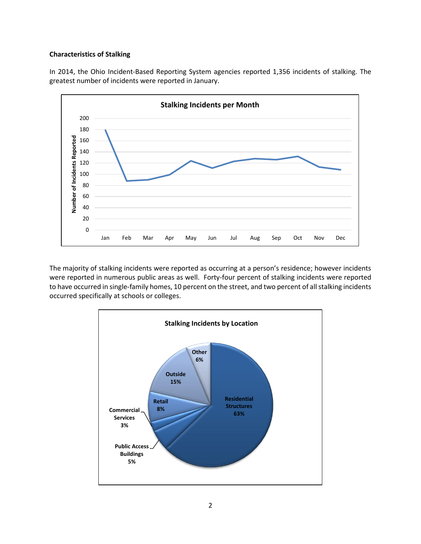### **Characteristics of Stalking**

In 2014, the Ohio Incident-Based Reporting System agencies reported 1,356 incidents of stalking. The greatest number of incidents were reported in January.



The majority of stalking incidents were reported as occurring at a person's residence; however incidents were reported in numerous public areas as well. Forty-four percent of stalking incidents were reported to have occurred in single-family homes, 10 percent on the street, and two percent of all stalking incidents occurred specifically at schools or colleges.

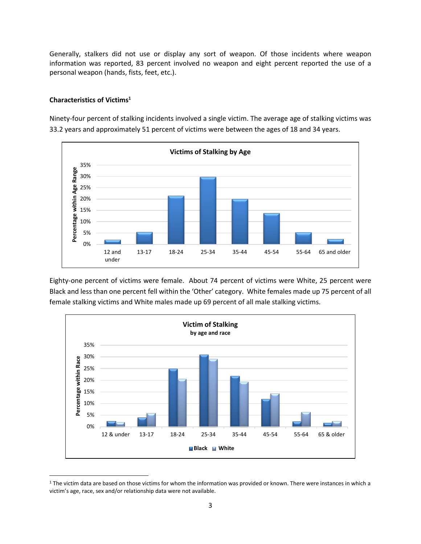Generally, stalkers did not use or display any sort of weapon. Of those incidents where weapon information was reported, 83 percent involved no weapon and eight percent reported the use of a personal weapon (hands, fists, feet, etc.).

## **Characteristics of Victims<sup>1</sup>**

 $\overline{\phantom{a}}$ 

Ninety-four percent of stalking incidents involved a single victim. The average age of stalking victims was 33.2 years and approximately 51 percent of victims were between the ages of 18 and 34 years.



Eighty-one percent of victims were female. About 74 percent of victims were White, 25 percent were Black and less than one percent fell within the 'Other' category. White females made up 75 percent of all female stalking victims and White males made up 69 percent of all male stalking victims.



<sup>&</sup>lt;sup>1</sup> The victim data are based on those victims for whom the information was provided or known. There were instances in which a victim's age, race, sex and/or relationship data were not available.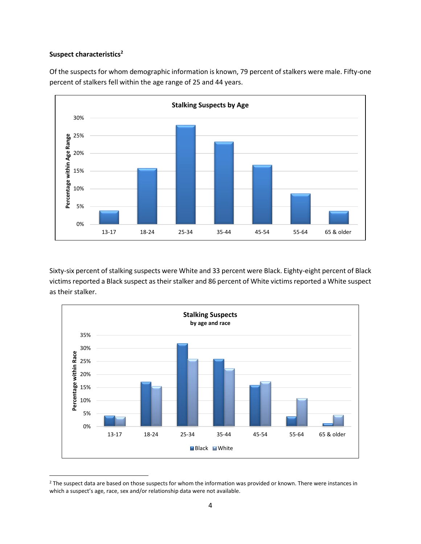### **Suspect characteristics<sup>2</sup>**

 $\overline{\phantom{a}}$ 





Sixty-six percent of stalking suspects were White and 33 percent were Black. Eighty-eight percent of Black victims reported a Black suspect as their stalker and 86 percent of White victims reported a White suspect as their stalker.



<sup>&</sup>lt;sup>2</sup> The suspect data are based on those suspects for whom the information was provided or known. There were instances in which a suspect's age, race, sex and/or relationship data were not available.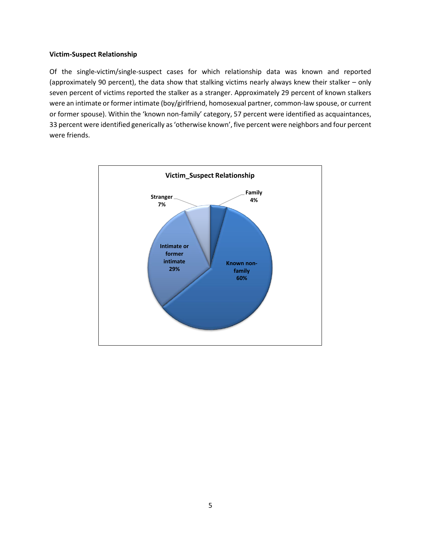### **Victim-Suspect Relationship**

Of the single-victim/single-suspect cases for which relationship data was known and reported (approximately 90 percent), the data show that stalking victims nearly always knew their stalker – only seven percent of victims reported the stalker as a stranger. Approximately 29 percent of known stalkers were an intimate or former intimate (boy/girlfriend, homosexual partner, common-law spouse, or current or former spouse). Within the 'known non-family' category, 57 percent were identified as acquaintances, 33 percent were identified generically as 'otherwise known', five percent were neighbors and four percent were friends.